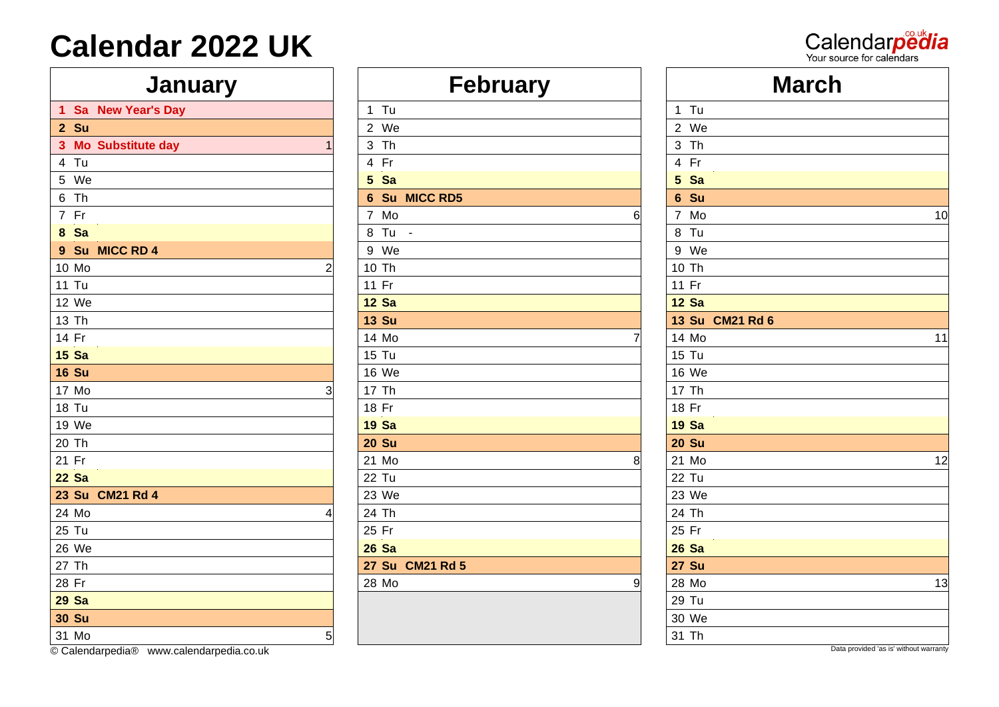#### **January**

|              | 1 Sa New Year's Day | $1$ Tu          |       | $1$ Tu       |
|--------------|---------------------|-----------------|-------|--------------|
| 2 Su         |                     | 2 We            |       | $2$ W        |
|              | 3 Mo Substitute day | 3 Th            |       | 3 Th         |
| 4 Tu         |                     | 4 Fr            |       | 4 Fr         |
| 5 We         |                     | 5 Sa            |       | 5 Sa         |
| 6 Th         |                     | 6 Su MICC RD5   |       | 6 Su         |
| 7 Fr         |                     | 7 Mo<br>6       |       | 7 Mo         |
| 8 Sa         |                     | 8 Tu -          |       | 8 Tu         |
|              | 9 Su MICC RD 4      | 9 We            |       | 9 W          |
| 10 Mo        | 2                   | 10 Th           |       | 10 Th        |
| <b>11 Tu</b> |                     | 11 Fr           |       | 11 Fr        |
| 12 We        |                     | <b>12 Sa</b>    |       | <b>12 Sa</b> |
| 13 Th        |                     | <b>13 Su</b>    |       | <b>13 Su</b> |
| 14 Fr        |                     | 14 Mo<br>7      |       | 14 Mo        |
| <b>15 Sa</b> |                     | 15 Tu           |       | 15 Tu        |
| <b>16 Su</b> |                     | 16 We           |       | 16 W         |
| 17 Mo        |                     | 17 Th           |       | 17 Th        |
| 18 Tu        |                     | 18 Fr           |       | 18 Fr        |
| 19 We        |                     | <b>19 Sa</b>    |       | <b>19 Sa</b> |
| 20 Th        |                     | <b>20 Su</b>    |       | <b>20 Su</b> |
| 21 Fr        |                     | 21 Mo<br>8      |       | 21 M         |
| <b>22 Sa</b> |                     | 22 Tu           | 22 Tu |              |
|              | 23 Su CM21 Rd 4     | 23 We           |       | 23 W         |
| 24 Mo        |                     | 24 Th           |       | 24 Th        |
| 25 Tu        |                     | 25 Fr           |       | 25 Fr        |
| 26 We        |                     | <b>26 Sa</b>    |       | <b>26 Sa</b> |
| 27 Th        |                     | 27 Su CM21 Rd 5 |       | <b>27 Su</b> |
| 28 Fr        |                     | 28 Mo<br>9      |       | 28 Mo        |
| <b>29 Sa</b> |                     |                 |       | 29 Tu        |
| <b>30 Su</b> |                     |                 |       | 30 W         |
| 31 Mo        | 5                   |                 | 31 Th |              |

| <b>January</b>       | <b>February</b> |   |                 |
|----------------------|-----------------|---|-----------------|
| 1 Sa New Year's Day  | 1 Tu            |   | 1 Tu            |
| 2 Su                 | 2 We            |   | 2 We            |
| 3 Mo Substitute day  | 3 Th            |   | 3 Th            |
| 4 Tu                 | 4 Fr            |   | 4 Fr            |
| 5 We                 | 5 Sa            |   | 5 Sa            |
| 6 Th                 | 6 Su MICC RD5   |   | 6 Su            |
| 7 Fr                 | 7 Mo            | 6 | 7 Mo            |
| 8 Sa                 | 8 Tu -          |   | 8 Tu            |
| 9 Su MICC RD 4       | 9 We            |   | 9 We            |
| 10 Mo<br>2           | 10 Th           |   | 10 Th           |
| 11 Tu                | 11 Fr           |   | 11 Fr           |
| 12 We                | <b>12 Sa</b>    |   | <b>12 Sa</b>    |
| 13 Th                | <b>13 Su</b>    |   | 13 Su CM21 Rd 6 |
| 14 Fr                | 14 Mo           | 7 | 14 Mo           |
| 15Sa                 | 15 Tu           |   | 15 Tu           |
| <b>16 Su</b>         | 16 We           |   | 16 We           |
| 17 Mo<br>3           | 17 Th           |   | 17 Th           |
| 18 Tu                | 18 Fr           |   | 18 Fr           |
| 19 We                | <b>19 Sa</b>    |   | <b>19 Sa</b>    |
| 20 Th                | <b>20 Su</b>    |   | <b>20 Su</b>    |
| 21 Fr                | 21 Mo           | 8 | 21 Mo           |
| 22 Sa                | 22 Tu           |   | 22 Tu           |
| 23 Su CM21 Rd 4      | 23 We           |   | 23 We           |
| 24 Mo<br>4           | 24 Th           |   | 24 Th           |
| 25 Tu                | 25 Fr           |   | 25 Fr           |
| 26 We                | <b>26 Sa</b>    |   | <b>26 Sa</b>    |
| 27 Th                | 27 Su CM21 Rd 5 |   | <b>27 Su</b>    |
| 28 Fr                | 28 Mo           | 9 | 28 Mo           |
| 29 Sa                |                 |   | 29 Tu           |
| <b>30 Su</b>         |                 |   | 30 We           |
| $\sim$ $\sim$ $\sim$ |                 |   | $\sim 1$        |

| <b>Calendar 2022 UK</b> |                |                 | Calendarpedia<br>Your source for calendars |    |
|-------------------------|----------------|-----------------|--------------------------------------------|----|
| <b>January</b>          |                | <b>February</b> | <b>March</b>                               |    |
| 1 Sa New Year's Day     |                | $1$ Tu          | 1 Tu                                       |    |
| 2 Su                    |                | 2 We            | 2 We                                       |    |
| 3 Mo Substitute day     |                | 3 Th            | 3 Th                                       |    |
| 4 Tu                    |                | 4 Fr            | 4 Fr                                       |    |
| 5 We                    |                | 5 Sa            | 5 Sa                                       |    |
| 6 Th                    |                | 6 Su MICC RD5   | 6 Su                                       |    |
| 7 Fr                    |                | 7 Mo            | 7 Mo                                       | 10 |
| 8 Sa                    |                | 8 Tu -          | 8 Tu                                       |    |
| 9 Su MICC RD 4          |                | 9 We            | 9 We                                       |    |
| 10 Mo                   |                | 10 Th           | 10 Th                                      |    |
| 11 Tu                   |                | 11 Fr           | 11 Fr                                      |    |
| 12 We                   |                | <b>12 Sa</b>    | <b>12 Sa</b>                               |    |
| 13 Th                   |                | <b>13 Su</b>    | 13 Su CM21 Rd 6                            |    |
| 14 Fr                   |                | 14 Mo           | 14 Mo                                      | 11 |
| 15Sa                    |                | 15 Tu           | 15 Tu                                      |    |
| <b>16 Su</b>            |                | 16 We           | 16 We                                      |    |
| 17 Mo                   |                | 17 Th           | 17 Th                                      |    |
| 18 Tu                   |                | 18 Fr           | 18 Fr                                      |    |
| 19 We                   |                | <b>19 Sa</b>    | <b>19 Sa</b>                               |    |
| 20 Th                   |                | <b>20 Su</b>    | <b>20 Su</b>                               |    |
| 21 Fr                   |                | 21 Mo           | 21 Mo                                      | 12 |
| $22$ Sa                 |                | 22 Tu           | 22 Tu                                      |    |
| 23 Su CM21 Rd 4         |                | 23 We           | 23 We                                      |    |
| 24 Mo                   |                | 24 Th           | 24 Th                                      |    |
| 25 Tu                   |                | 25 Fr           | 25 Fr                                      |    |
| 26 We                   |                | <b>26 Sa</b>    | <b>26 Sa</b>                               |    |
| 27 Th                   |                | 27 Su CM21 Rd 5 | <b>27 Su</b>                               |    |
| 28 Fr                   |                | 28 Mo           | 28 Mo                                      | 13 |
| 29 Sa                   |                |                 | 29 Tu                                      |    |
| 30 Su                   |                |                 | 30 We                                      |    |
| 31 Mo                   | 5 <sub>5</sub> |                 | 31 Th                                      |    |

Commission Calendarpedia Co.uk Data provided 'as is' without warranty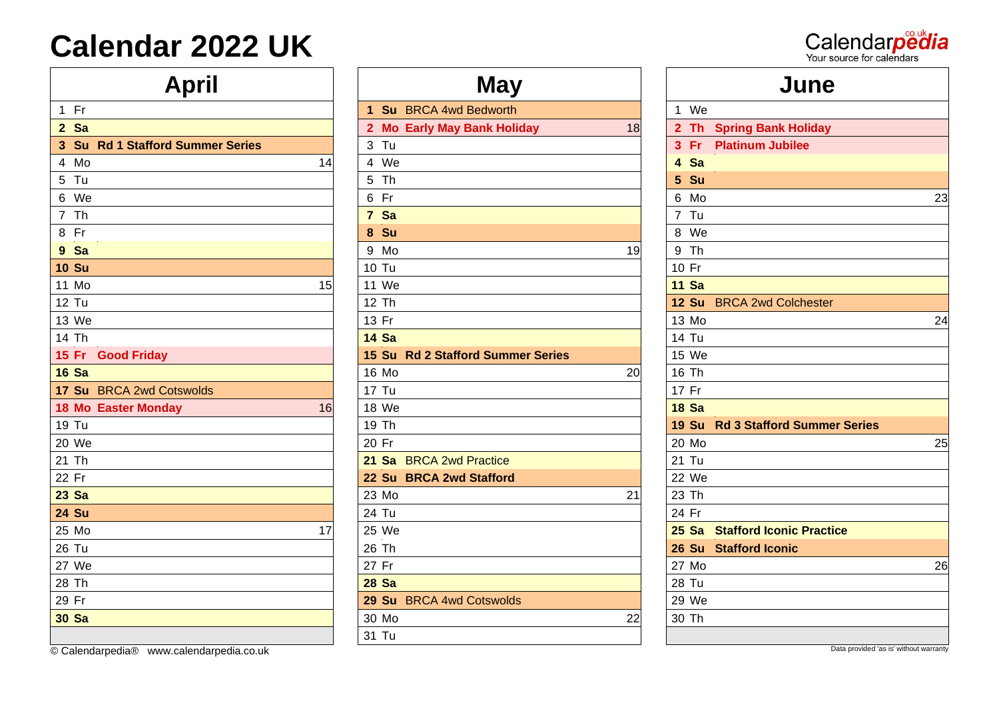| <b>April</b>                     | <b>May</b>                        | June                                               |
|----------------------------------|-----------------------------------|----------------------------------------------------|
| $1$ Fr                           | 1 Su BRCA 4wd Bedworth            | We<br>$\mathbf{1}$                                 |
| 2 Sa                             | 2 Mo Early May Bank Holiday<br>18 | 2 Th Spring Bank Holiday                           |
| 3 Su Rd 1 Stafford Summer Series | $3$ Tu                            | $3$ Fr<br><b>Platinum Jubilee</b>                  |
| 4 Mo<br>14                       | 4 We                              | 4 Sa                                               |
| 5 Tu                             | 5 Th                              | 5 Su                                               |
| 6 We                             | 6 Fr                              | 6 Mo                                               |
| 7 Th                             | 7 Sa                              | 7 Tu                                               |
| 8 Fr                             | 8 Su                              | 8 We                                               |
| 9 Sa                             | 9 Mo<br>19                        | 9 Th                                               |
| <b>10 Su</b>                     | 10 Tu                             | 10 Fr                                              |
| 11 Mo<br>15                      | 11 We                             | <b>11 Sa</b>                                       |
| 12 Tu                            | 12 Th                             | <b>12 Su</b><br><b>BRCA 2wd Colchester</b>         |
| 13 We                            | 13 Fr                             | 13 Mo                                              |
| 14 Th                            | <b>14 Sa</b>                      | <b>14 Tu</b>                                       |
| <b>Good Friday</b><br>15 Fr      | 15 Su Rd 2 Stafford Summer Series | 15 We                                              |
| <b>16 Sa</b>                     | 16 Mo<br>20                       | 16 Th                                              |
| 17 Su BRCA 2wd Cotswolds         | <b>17 Tu</b>                      | 17 Fr                                              |
| <b>18 Mo Easter Monday</b><br>16 | 18 We                             | <b>18 Sa</b>                                       |
| 19 Tu                            | 19 Th                             | <b>19 Su</b><br><b>Rd 3 Stafford Summer Series</b> |
| 20 We                            | 20 Fr                             | 20 Mo                                              |
| 21 Th                            | 21 Sa BRCA 2wd Practice           | 21 Tu                                              |
| 22 Fr                            | 22 Su BRCA 2wd Stafford           | 22 We                                              |
| <b>23 Sa</b>                     | 23 Mo<br>21                       | 23 Th                                              |
| <b>24 Su</b>                     | 24 Tu                             | 24 Fr                                              |
| 25 Mo<br>17                      | 25 We                             | 25 Sa<br><b>Stafford Iconic Practice</b>           |
| 26 Tu                            | 26 Th                             | <b>26 Su</b><br><b>Stafford Iconic</b>             |
| 27 We                            | 27 Fr                             | 27 Mo                                              |
| 28 Th                            | <b>28 Sa</b>                      | 28 Tu                                              |
| 29 Fr                            | 29 Su BRCA 4wd Cotswolds          | 29 We                                              |
| <b>30 Sa</b>                     | 30 Mo<br>22                       | 30 Th                                              |
|                                  | 31 Tu                             |                                                    |
|                                  |                                   |                                                    |

Calendarpedia We 6 Fr 6 Mo 23 13 We | | 13 Fr | | 13 Mo 24 20 We | | 20 Fr | | 20 Mo 25 We 27 Fr 27 Mo 26

**Calendarpedia®** [www.calendarpedia.co.uk](https://www.calendarpedia.co.uk/) Data provided 'as is' without warranty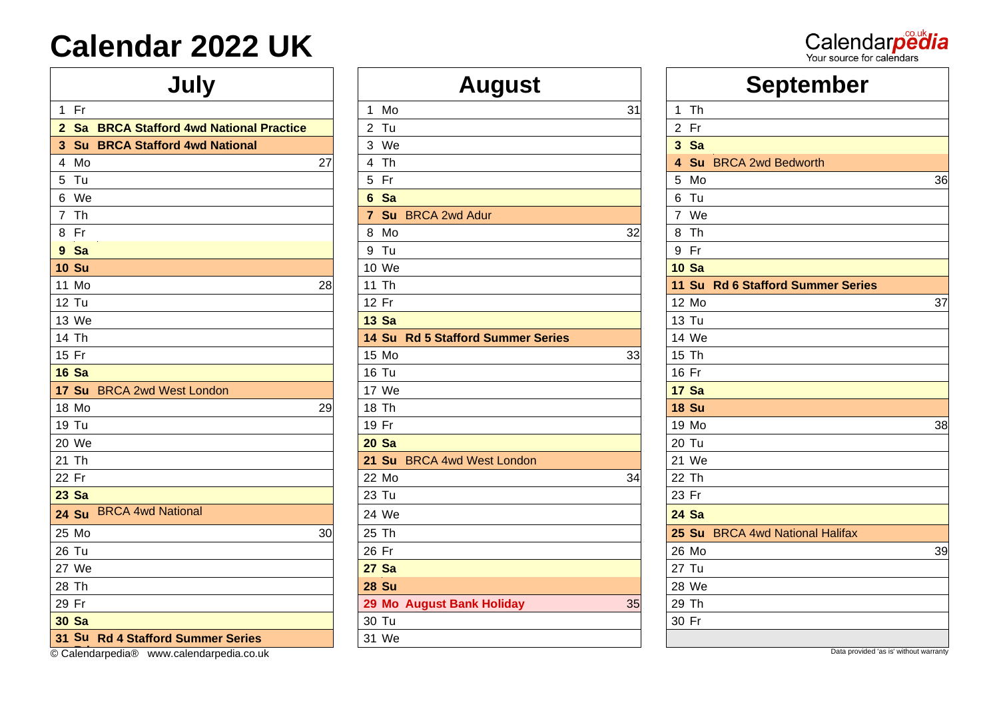| 1 Fr                                     |    | Mo<br>1                           | 31 | 1 Th                                   |    |
|------------------------------------------|----|-----------------------------------|----|----------------------------------------|----|
| 2 Sa BRCA Stafford 4wd National Practice |    | 2 Tu                              |    | 2 Fr                                   |    |
| 3 Su BRCA Stafford 4wd National          |    | 3 We                              |    | 3 Sa                                   |    |
| 4 Mo                                     | 27 | 4 Th                              |    | 4 Su BRCA 2wd Bedworth                 |    |
| 5 Tu                                     |    | 5 Fr                              |    | 5 Mo                                   | 36 |
| 6 We                                     |    | 6 Sa                              |    | 6 Tu                                   |    |
| 7 Th                                     |    | 7 Su BRCA 2wd Adur                |    | 7 We                                   |    |
| 8 Fr                                     |    | 8 Mo                              | 32 | 8 Th                                   |    |
| 9 Sa                                     |    | 9 Tu                              |    | 9 Fr                                   |    |
| <b>10 Su</b>                             |    | 10 We                             |    | <b>10 Sa</b>                           |    |
| 11 Mo                                    | 28 | 11 Th                             |    | 11 Su Rd 6 Stafford Summer Series      |    |
| 12 Tu                                    |    | 12 Fr                             |    | 12 Mo                                  | 37 |
| 13 We                                    |    | <b>13 Sa</b>                      |    | 13 Tu                                  |    |
| 14 Th                                    |    | 14 Su Rd 5 Stafford Summer Series |    | 14 We                                  |    |
| 15 Fr                                    |    | 15 Mo                             | 33 | 15 Th                                  |    |
| <b>16 Sa</b>                             |    | <b>16 Tu</b>                      |    | 16 Fr                                  |    |
| 17 Su BRCA 2wd West London               |    | 17 We                             |    | <b>17 Sa</b>                           |    |
| 18 Mo                                    | 29 | 18 Th                             |    | <b>18 Su</b>                           |    |
| 19 Tu                                    |    | 19 Fr                             |    | 19 Mo                                  | 38 |
| 20 We                                    |    | <b>20 Sa</b>                      |    | 20 Tu                                  |    |
| 21 Th                                    |    | 21 Su BRCA 4wd West London        |    | 21 We                                  |    |
| 22 Fr                                    |    | 22 Mo                             | 34 | 22 Th                                  |    |
| 23 Sa                                    |    | 23 Tu                             |    | 23 Fr                                  |    |
| 24 Su BRCA 4wd National                  |    | 24 We                             |    | <b>24 Sa</b>                           |    |
| 25 Mo                                    | 30 | 25 Th                             |    | 25 Su BRCA 4wd National Halifax        |    |
| 26 Tu                                    |    | 26 Fr                             |    | 26 Mo                                  | 39 |
| 27 We                                    |    | <b>27 Sa</b>                      |    | 27 Tu                                  |    |
| 28 Th                                    |    | <b>28 Su</b>                      |    | 28 We                                  |    |
| 29 Fr                                    |    | 29 Mo August Bank Holiday         | 35 | 29 Th                                  |    |
| <b>30 Sa</b>                             |    | 30 Tu                             |    | 30 Fr                                  |    |
| 31 Su Rd 4 Stafford Summer Series        |    | 31 We                             |    |                                        |    |
| © Calendarpedia® www.calendarpedia.co.uk |    |                                   |    | Data provided 'as is' without warranty |    |

| July                                     | <b>August</b>                     | <b>September</b>                 |
|------------------------------------------|-----------------------------------|----------------------------------|
| $1$ Fr                                   | 1 Mo<br>31                        | $1$ Th                           |
| 2 Sa BRCA Stafford 4wd National Practice | $2$ Tu                            | 2 Fr                             |
| 3 Su BRCA Stafford 4wd National          | 3 We                              | 3 Sa                             |
| 4 Mo<br>27                               | 4 Th                              | 4 Su BRCA 2wd Bedworth           |
| 5 Tu                                     | 5 Fr                              | 5 Mo                             |
| 6 We                                     | 6 Sa                              | 6 Tu                             |
| 7 Th                                     | 7 Su BRCA 2wd Adur                | 7 We                             |
| 8 Fr                                     | 8 Mo<br>32                        | 8 Th                             |
| 9 Sa                                     | 9 Tu                              | 9 Fr                             |
| <b>0 Su</b>                              | 10 We                             | <b>10 Sa</b>                     |
| 11 Mo<br>28                              | 11 Th                             | 11 Su Rd 6 Stafford Summer Serie |
| 2 Tu                                     | 12 Fr                             | 12 Mo                            |
| 13 We                                    | <b>13 Sa</b>                      | 13 Tu                            |
| 14 Th                                    | 14 Su Rd 5 Stafford Summer Series | 14 We                            |
| 15 Fr                                    | 15 Mo<br>33                       | 15 Th                            |
| 6 Sa                                     | <b>16 Tu</b>                      | 16 Fr                            |
| 17 Su BRCA 2wd West London               | 17 We                             | <b>17 Sa</b>                     |
| 8 Mo<br>29                               | 18 Th                             | <b>18 Su</b>                     |
| 19 Tu                                    | 19 Fr                             | 19 Mo                            |
| 20 We                                    | <b>20 Sa</b>                      | 20 Tu                            |
| 21 Th                                    | 21 Su BRCA 4wd West London        | 21 We                            |
| $22$ Fr                                  | 22 Mo<br>34                       | 22 Th                            |
| 23 Sa                                    | 23 Tu                             | 23 Fr                            |
| <b>BRCA 4wd National</b><br>24 Su        | 24 We                             | <b>24 Sa</b>                     |
| 25 Mo<br>30                              | 25 Th                             | 25 Su BRCA 4wd National Halifax  |
| 26 Tu                                    | 26 Fr                             | 26 Mo                            |
| 27 We                                    | <b>27 Sa</b>                      | 27 Tu                            |
| 28 Th                                    | <b>28 Su</b>                      | 28 We                            |
| 29 Fr                                    | 29 Mo August Bank Holiday<br>35   | 29 Th                            |
| <b>30 Sa</b>                             | 30 Tu                             | 30 Fr                            |
| 31 Su Rd 4 Stafford Summer Series        | 31 We                             |                                  |
|                                          |                                   |                                  |

| July                                     | <b>August</b>                     | <b>September</b>                  |
|------------------------------------------|-----------------------------------|-----------------------------------|
| $1$ Fr                                   | 1 Mo<br>31                        | $1$ Th                            |
| 2 Sa BRCA Stafford 4wd National Practice | 2 Tu                              | 2 Fr                              |
| 3 Su BRCA Stafford 4wd National          | 3 We                              | 3 Sa                              |
| 4 Mo<br>27                               | 4 Th                              | 4 Su BRCA 2wd Bedworth            |
| 5 Tu                                     | 5 Fr                              | 5 Mo<br>36                        |
| 6 We                                     | 6 Sa                              | 6 Tu                              |
| 7 Th                                     | 7 Su BRCA 2wd Adur                | 7 We                              |
| 8 Fr                                     | 8 Mo<br>32                        | 8 Th                              |
| 9 Sa                                     | 9 Tu                              | 9 Fr                              |
| <b>10 Su</b>                             | 10 We                             | <b>10 Sa</b>                      |
| 11 Mo<br>28                              | 11 Th                             | 11 Su Rd 6 Stafford Summer Series |
| 12 Tu                                    | 12 Fr                             | 12 Mo<br>37                       |
| 13 We                                    | <b>13 Sa</b>                      | 13 Tu                             |
| 14 Th                                    | 14 Su Rd 5 Stafford Summer Series | 14 We                             |
| 15 Fr                                    | 15 Mo<br>33                       | 15 Th                             |
| <b>16 Sa</b>                             | <b>16 Tu</b>                      | 16 Fr                             |
| 17 Su BRCA 2wd West London               | 17 We                             | <b>17 Sa</b>                      |
| 18 Mo<br>29                              | 18 Th                             | <b>18 Su</b>                      |
| 19 Tu                                    | 19 Fr                             | 19 Mo<br>38                       |
| 20 We                                    | <b>20 Sa</b>                      | 20 Tu                             |
| 21 Th                                    | 21 Su BRCA 4wd West London        | 21 We                             |
| 22 Fr                                    | 22 Mo<br>34                       | 22 Th                             |
| 23 Sa                                    | 23 Tu                             | 23 Fr                             |
| 24 Su BRCA 4wd National                  | 24 We                             | <b>24 Sa</b>                      |
| 25 Mo<br>30                              | 25 Th                             | 25 Su BRCA 4wd National Halifax   |
| 26 Tu                                    | 26 Fr                             | 26 Mo<br>39                       |
| 27 We                                    | <b>27 Sa</b>                      | 27 Tu                             |
| 28 Th                                    | <b>28 Su</b>                      | 28 We                             |
| 29 Fr                                    | 29 Mo August Bank Holiday<br>35   | 29 Th                             |
| 30 Sa                                    | 30 Tu                             | 30 Fr                             |
| 31 Su Rd 4 Stafford Summer Series        | 31 We                             |                                   |